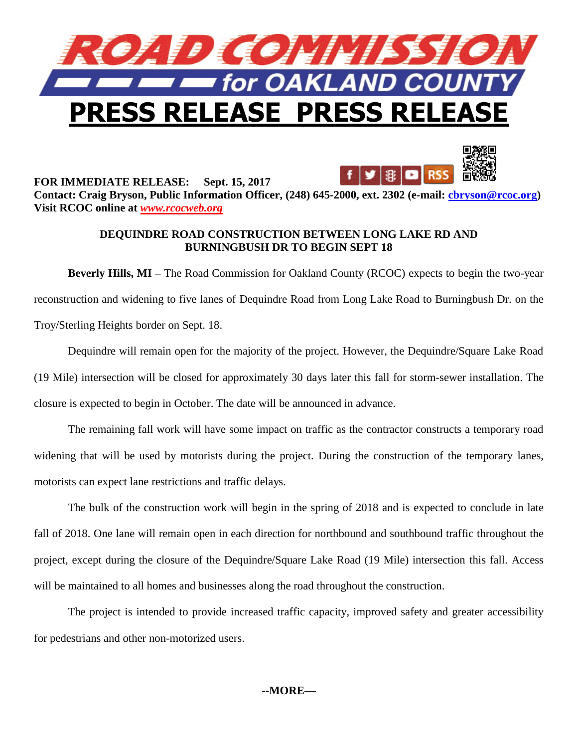



**FOR IMMEDIATE RELEASE: Sept. 15, 2017 Contact: Craig Bryson, Public Information Officer, (248) 645-2000, ext. 2302 (e-mail: [cbryson@rcoc.org\)](mailto:cbryson@rcoc.org) Visit RCOC online at** *[www.rcocweb.org](http://www.rcocweb.org/)*

## **DEQUINDRE ROAD CONSTRUCTION BETWEEN LONG LAKE RD AND BURNINGBUSH DR TO BEGIN SEPT 18**

**Beverly Hills, MI –** The Road Commission for Oakland County (RCOC) expects to begin the two-year reconstruction and widening to five lanes of Dequindre Road from Long Lake Road to Burningbush Dr. on the Troy/Sterling Heights border on Sept. 18.

Dequindre will remain open for the majority of the project. However, the Dequindre/Square Lake Road (19 Mile) intersection will be closed for approximately 30 days later this fall for storm-sewer installation. The closure is expected to begin in October. The date will be announced in advance.

The remaining fall work will have some impact on traffic as the contractor constructs a temporary road widening that will be used by motorists during the project. During the construction of the temporary lanes, motorists can expect lane restrictions and traffic delays.

The bulk of the construction work will begin in the spring of 2018 and is expected to conclude in late fall of 2018. One lane will remain open in each direction for northbound and southbound traffic throughout the project, except during the closure of the Dequindre/Square Lake Road (19 Mile) intersection this fall. Access will be maintained to all homes and businesses along the road throughout the construction.

The project is intended to provide increased traffic capacity, improved safety and greater accessibility for pedestrians and other non-motorized users.